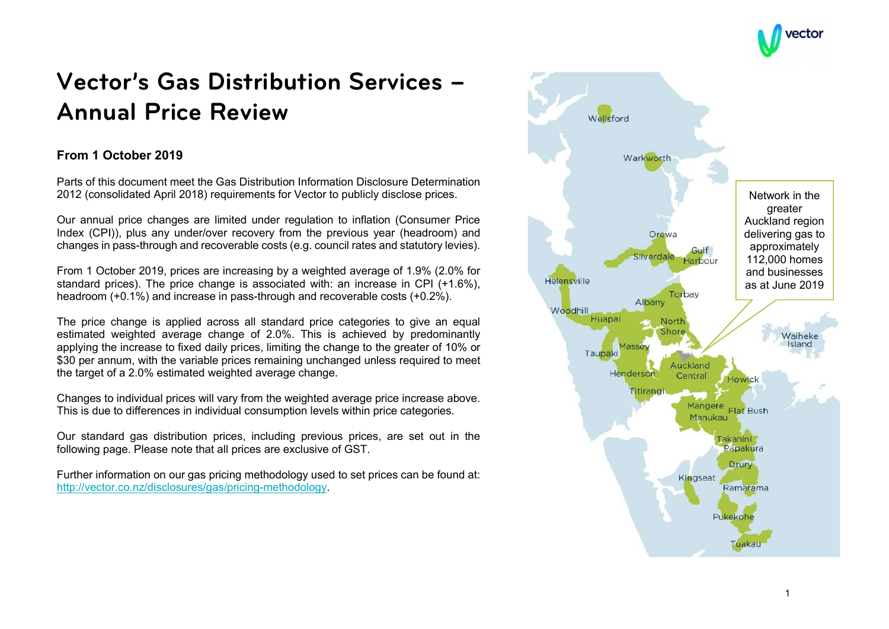

# Vector's Gas Distribution Services – Annual Price Review

# From 1 October 2019

Parts of this document meet the Gas Distribution Information Disclosure Determination 2012 (consolidated April 2018) requirements for Vector to publicly disclose prices.

Our annual price changes are limited under regulation to inflation (Consumer Price Index (CPI)), plus any under/over recovery from the previous year (headroom) and changes in pass-through and recoverable costs (e.g. council rates and statutory levies).

From 1 October 2019, prices are increasing by a weighted average of 1.9% (2.0% for standard prices). The price change is associated with: an increase in CPI (+1.6%), headroom (+0.1%) and increase in pass-through and recoverable costs (+0.2%).

The price change is applied across all standard price categories to give an equal estimated weighted average change of 2.0%. This is achieved by predominantly applying the increase to fixed daily prices, limiting the change to the greater of 10% or \$30 per annum, with the variable prices remaining unchanged unless required to meet the target of a 2.0% estimated weighted average change.

Changes to individual prices will vary from the weighted average price increase above. This is due to differences in individual consumption levels within price categories.

Our standard gas distribution prices, including previous prices, are set out in the following page. Please note that all prices are exclusive of GST.

Further information on our gas pricing methodology used to set prices can be found at: http://vector.co.nz/disclosures/gas/pricing-methodology.